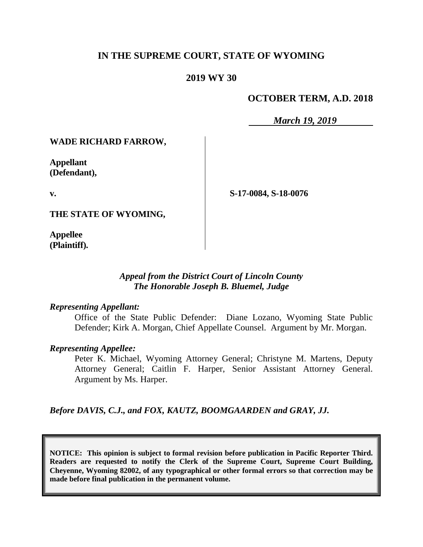# **IN THE SUPREME COURT, STATE OF WYOMING**

### **2019 WY 30**

# **OCTOBER TERM, A.D. 2018**

*March 19, 2019*

#### **WADE RICHARD FARROW,**

**Appellant (Defendant),**

**v.**

**S-17-0084, S-18-0076**

**THE STATE OF WYOMING,**

**Appellee (Plaintiff).**

#### *Appeal from the District Court of Lincoln County The Honorable Joseph B. Bluemel, Judge*

#### *Representing Appellant:*

Office of the State Public Defender: Diane Lozano, Wyoming State Public Defender; Kirk A. Morgan, Chief Appellate Counsel. Argument by Mr. Morgan.

#### *Representing Appellee:*

Peter K. Michael, Wyoming Attorney General; Christyne M. Martens, Deputy Attorney General; Caitlin F. Harper, Senior Assistant Attorney General. Argument by Ms. Harper.

*Before DAVIS, C.J., and FOX, KAUTZ, BOOMGAARDEN and GRAY, JJ.*

**NOTICE: This opinion is subject to formal revision before publication in Pacific Reporter Third. Readers are requested to notify the Clerk of the Supreme Court, Supreme Court Building, Cheyenne, Wyoming 82002, of any typographical or other formal errors so that correction may be made before final publication in the permanent volume.**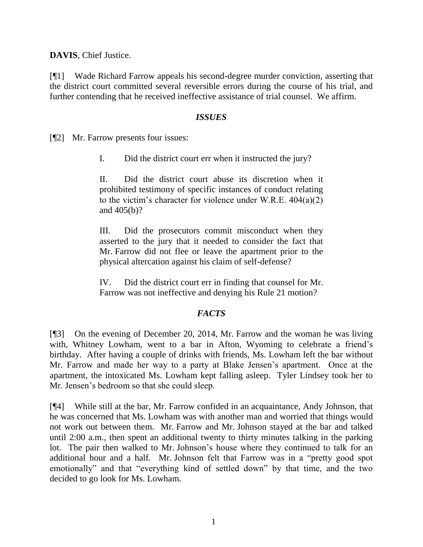**DAVIS**, Chief Justice.

[¶1] Wade Richard Farrow appeals his second-degree murder conviction, asserting that the district court committed several reversible errors during the course of his trial, and further contending that he received ineffective assistance of trial counsel. We affirm.

### *ISSUES*

[¶2] Mr. Farrow presents four issues:

I. Did the district court err when it instructed the jury?

II. Did the district court abuse its discretion when it prohibited testimony of specific instances of conduct relating to the victim's character for violence under W.R.E.  $404(a)(2)$ and 405(b)?

III. Did the prosecutors commit misconduct when they asserted to the jury that it needed to consider the fact that Mr. Farrow did not flee or leave the apartment prior to the physical altercation against his claim of self-defense?

IV. Did the district court err in finding that counsel for Mr. Farrow was not ineffective and denying his Rule 21 motion?

# *FACTS*

[¶3] On the evening of December 20, 2014, Mr. Farrow and the woman he was living with, Whitney Lowham, went to a bar in Afton, Wyoming to celebrate a friend's birthday. After having a couple of drinks with friends, Ms. Lowham left the bar without Mr. Farrow and made her way to a party at Blake Jensen's apartment. Once at the apartment, the intoxicated Ms. Lowham kept falling asleep. Tyler Lindsey took her to Mr. Jensen's bedroom so that she could sleep.

[¶4] While still at the bar, Mr. Farrow confided in an acquaintance, Andy Johnson, that he was concerned that Ms. Lowham was with another man and worried that things would not work out between them. Mr. Farrow and Mr. Johnson stayed at the bar and talked until 2:00 a.m., then spent an additional twenty to thirty minutes talking in the parking lot. The pair then walked to Mr. Johnson's house where they continued to talk for an additional hour and a half. Mr. Johnson felt that Farrow was in a "pretty good spot emotionally" and that "everything kind of settled down" by that time, and the two decided to go look for Ms. Lowham.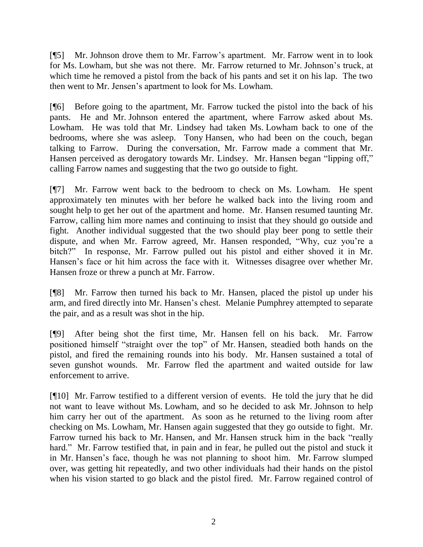[¶5] Mr. Johnson drove them to Mr. Farrow's apartment. Mr. Farrow went in to look for Ms. Lowham, but she was not there. Mr. Farrow returned to Mr. Johnson's truck, at which time he removed a pistol from the back of his pants and set it on his lap. The two then went to Mr. Jensen's apartment to look for Ms. Lowham.

[¶6] Before going to the apartment, Mr. Farrow tucked the pistol into the back of his pants. He and Mr. Johnson entered the apartment, where Farrow asked about Ms. Lowham. He was told that Mr. Lindsey had taken Ms. Lowham back to one of the bedrooms, where she was asleep. Tony Hansen, who had been on the couch, began talking to Farrow. During the conversation, Mr. Farrow made a comment that Mr. Hansen perceived as derogatory towards Mr. Lindsey. Mr. Hansen began "lipping off," calling Farrow names and suggesting that the two go outside to fight.

[¶7] Mr. Farrow went back to the bedroom to check on Ms. Lowham. He spent approximately ten minutes with her before he walked back into the living room and sought help to get her out of the apartment and home. Mr. Hansen resumed taunting Mr. Farrow, calling him more names and continuing to insist that they should go outside and fight. Another individual suggested that the two should play beer pong to settle their dispute, and when Mr. Farrow agreed, Mr. Hansen responded, "Why, cuz you're a bitch?" In response, Mr. Farrow pulled out his pistol and either shoved it in Mr. Hansen's face or hit him across the face with it. Witnesses disagree over whether Mr. Hansen froze or threw a punch at Mr. Farrow.

[¶8] Mr. Farrow then turned his back to Mr. Hansen, placed the pistol up under his arm, and fired directly into Mr. Hansen's chest. Melanie Pumphrey attempted to separate the pair, and as a result was shot in the hip.

[¶9] After being shot the first time, Mr. Hansen fell on his back. Mr. Farrow positioned himself "straight over the top" of Mr. Hansen, steadied both hands on the pistol, and fired the remaining rounds into his body. Mr. Hansen sustained a total of seven gunshot wounds. Mr. Farrow fled the apartment and waited outside for law enforcement to arrive.

[¶10] Mr. Farrow testified to a different version of events. He told the jury that he did not want to leave without Ms. Lowham, and so he decided to ask Mr. Johnson to help him carry her out of the apartment. As soon as he returned to the living room after checking on Ms. Lowham, Mr. Hansen again suggested that they go outside to fight. Mr. Farrow turned his back to Mr. Hansen, and Mr. Hansen struck him in the back "really hard." Mr. Farrow testified that, in pain and in fear, he pulled out the pistol and stuck it in Mr. Hansen's face, though he was not planning to shoot him. Mr. Farrow slumped over, was getting hit repeatedly, and two other individuals had their hands on the pistol when his vision started to go black and the pistol fired. Mr. Farrow regained control of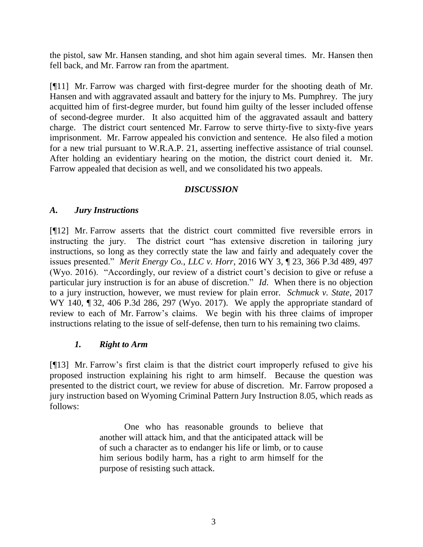the pistol, saw Mr. Hansen standing, and shot him again several times. Mr. Hansen then fell back, and Mr. Farrow ran from the apartment.

[¶11] Mr. Farrow was charged with first-degree murder for the shooting death of Mr. Hansen and with aggravated assault and battery for the injury to Ms. Pumphrey. The jury acquitted him of first-degree murder, but found him guilty of the lesser included offense of second-degree murder. It also acquitted him of the aggravated assault and battery charge. The district court sentenced Mr. Farrow to serve thirty-five to sixty-five years imprisonment. Mr. Farrow appealed his conviction and sentence. He also filed a motion for a new trial pursuant to W.R.A.P. 21, asserting ineffective assistance of trial counsel. After holding an evidentiary hearing on the motion, the district court denied it. Mr. Farrow appealed that decision as well, and we consolidated his two appeals.

# *DISCUSSION*

### *A. Jury Instructions*

[¶12] Mr. Farrow asserts that the district court committed five reversible errors in instructing the jury. The district court "has extensive discretion in tailoring jury instructions, so long as they correctly state the law and fairly and adequately cover the issues presented." *Merit Energy Co., LLC v. Horr*, 2016 WY 3, ¶ 23, 366 P.3d 489, 497 (Wyo. 2016). "Accordingly, our review of a district court's decision to give or refuse a particular jury instruction is for an abuse of discretion." *Id*. When there is no objection to a jury instruction, however, we must review for plain error. *Schmuck v. State*, 2017 WY 140, ¶ 32, 406 P.3d 286, 297 (Wyo. 2017). We apply the appropriate standard of review to each of Mr. Farrow's claims. We begin with his three claims of improper instructions relating to the issue of self-defense, then turn to his remaining two claims.

# *1. Right to Arm*

[¶13] Mr. Farrow's first claim is that the district court improperly refused to give his proposed instruction explaining his right to arm himself. Because the question was presented to the district court, we review for abuse of discretion. Mr. Farrow proposed a jury instruction based on Wyoming Criminal Pattern Jury Instruction 8.05, which reads as follows:

> One who has reasonable grounds to believe that another will attack him, and that the anticipated attack will be of such a character as to endanger his life or limb, or to cause him serious bodily harm, has a right to arm himself for the purpose of resisting such attack.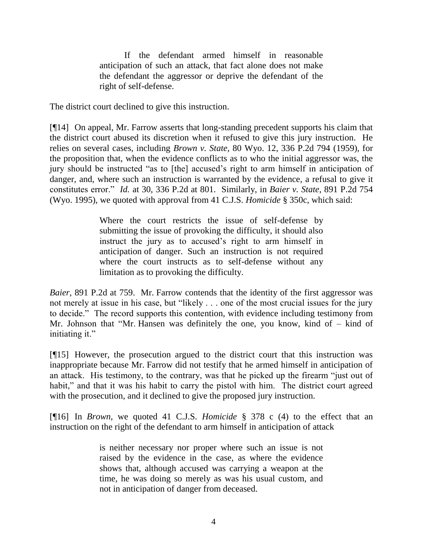If the defendant armed himself in reasonable anticipation of such an attack, that fact alone does not make the defendant the aggressor or deprive the defendant of the right of self-defense.

The district court declined to give this instruction.

[¶14] On appeal, Mr. Farrow asserts that long-standing precedent supports his claim that the district court abused its discretion when it refused to give this jury instruction. He relies on several cases, including *Brown v. State*, 80 Wyo. 12, 336 P.2d 794 (1959), for the proposition that, when the evidence conflicts as to who the initial aggressor was, the jury should be instructed "as to [the] accused's right to arm himself in anticipation of danger, and, where such an instruction is warranted by the evidence, a refusal to give it constitutes error." *Id.* at 30, 336 P.2d at 801. Similarly, in *Baier v. State*, 891 P.2d 754 (Wyo. 1995), we quoted with approval from 41 C.J.S. *Homicide* § 350c, which said:

> Where the court restricts the issue of self-defense by submitting the issue of provoking the difficulty, it should also instruct the jury as to accused's right to arm himself in anticipation of danger. Such an instruction is not required where the court instructs as to self-defense without any limitation as to provoking the difficulty.

*Baier*, 891 P.2d at 759. Mr. Farrow contends that the identity of the first aggressor was not merely at issue in his case, but "likely . . . one of the most crucial issues for the jury to decide." The record supports this contention, with evidence including testimony from Mr. Johnson that "Mr. Hansen was definitely the one, you know, kind of – kind of initiating it."

[¶15] However, the prosecution argued to the district court that this instruction was inappropriate because Mr. Farrow did not testify that he armed himself in anticipation of an attack. His testimony, to the contrary, was that he picked up the firearm "just out of habit," and that it was his habit to carry the pistol with him. The district court agreed with the prosecution, and it declined to give the proposed jury instruction.

[¶16] In *Brown*, we quoted 41 C.J.S. *Homicide* § 378 c (4) to the effect that an instruction on the right of the defendant to arm himself in anticipation of attack

> is neither necessary nor proper where such an issue is not raised by the evidence in the case, as where the evidence shows that, although accused was carrying a weapon at the time, he was doing so merely as was his usual custom, and not in anticipation of danger from deceased.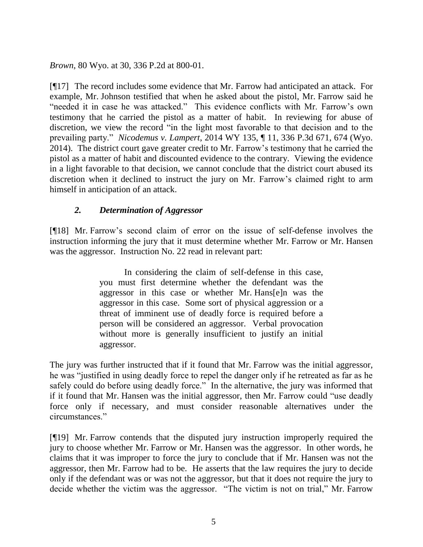*Brown*, 80 Wyo. at 30, 336 P.2d at 800-01.

[¶17] The record includes some evidence that Mr. Farrow had anticipated an attack. For example, Mr. Johnson testified that when he asked about the pistol, Mr. Farrow said he "needed it in case he was attacked." This evidence conflicts with Mr. Farrow's own testimony that he carried the pistol as a matter of habit. In reviewing for abuse of discretion, we view the record "in the light most favorable to that decision and to the prevailing party." *Nicodemus v. Lampert*, 2014 WY 135, ¶ 11, 336 P.3d 671, 674 (Wyo. 2014). The district court gave greater credit to Mr. Farrow's testimony that he carried the pistol as a matter of habit and discounted evidence to the contrary. Viewing the evidence in a light favorable to that decision, we cannot conclude that the district court abused its discretion when it declined to instruct the jury on Mr. Farrow's claimed right to arm himself in anticipation of an attack.

# *2. Determination of Aggressor*

[¶18] Mr. Farrow's second claim of error on the issue of self-defense involves the instruction informing the jury that it must determine whether Mr. Farrow or Mr. Hansen was the aggressor. Instruction No. 22 read in relevant part:

> In considering the claim of self-defense in this case, you must first determine whether the defendant was the aggressor in this case or whether Mr. Hans[e]n was the aggressor in this case. Some sort of physical aggression or a threat of imminent use of deadly force is required before a person will be considered an aggressor. Verbal provocation without more is generally insufficient to justify an initial aggressor.

The jury was further instructed that if it found that Mr. Farrow was the initial aggressor, he was "justified in using deadly force to repel the danger only if he retreated as far as he safely could do before using deadly force." In the alternative, the jury was informed that if it found that Mr. Hansen was the initial aggressor, then Mr. Farrow could "use deadly force only if necessary, and must consider reasonable alternatives under the circumstances."

[¶19] Mr. Farrow contends that the disputed jury instruction improperly required the jury to choose whether Mr. Farrow or Mr. Hansen was the aggressor. In other words, he claims that it was improper to force the jury to conclude that if Mr. Hansen was not the aggressor, then Mr. Farrow had to be. He asserts that the law requires the jury to decide only if the defendant was or was not the aggressor, but that it does not require the jury to decide whether the victim was the aggressor. "The victim is not on trial," Mr. Farrow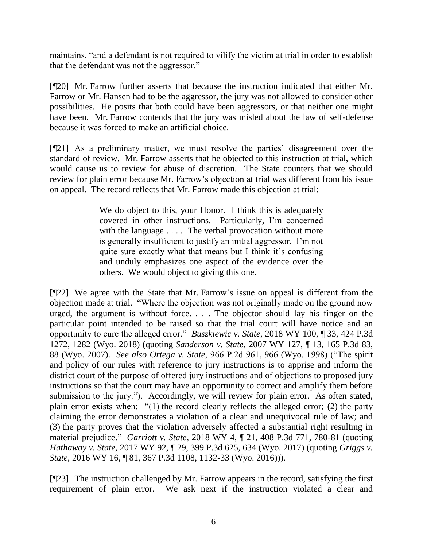maintains, "and a defendant is not required to vilify the victim at trial in order to establish that the defendant was not the aggressor."

[¶20] Mr. Farrow further asserts that because the instruction indicated that either Mr. Farrow or Mr. Hansen had to be the aggressor, the jury was not allowed to consider other possibilities. He posits that both could have been aggressors, or that neither one might have been. Mr. Farrow contends that the jury was misled about the law of self-defense because it was forced to make an artificial choice.

[¶21] As a preliminary matter, we must resolve the parties' disagreement over the standard of review. Mr. Farrow asserts that he objected to this instruction at trial, which would cause us to review for abuse of discretion. The State counters that we should review for plain error because Mr. Farrow's objection at trial was different from his issue on appeal. The record reflects that Mr. Farrow made this objection at trial:

> We do object to this, your Honor. I think this is adequately covered in other instructions. Particularly, I'm concerned with the language . . . . The verbal provocation without more is generally insufficient to justify an initial aggressor. I'm not quite sure exactly what that means but I think it's confusing and unduly emphasizes one aspect of the evidence over the others. We would object to giving this one.

[¶22] We agree with the State that Mr. Farrow's issue on appeal is different from the objection made at trial. "Where the objection was not originally made on the ground now urged, the argument is without force. . . . The objector should lay his finger on the particular point intended to be raised so that the trial court will have notice and an opportunity to cure the alleged error." *Buszkiewic v. State*, 2018 WY 100, ¶ 33, 424 P.3d 1272, 1282 (Wyo. 2018) (quoting *Sanderson v. State,* 2007 WY 127, ¶ 13, 165 P.3d 83, 88 (Wyo. 2007). *See also Ortega v. State*, 966 P.2d 961, 966 (Wyo. 1998) ("The spirit and policy of our rules with reference to jury instructions is to apprise and inform the district court of the purpose of offered jury instructions and of objections to proposed jury instructions so that the court may have an opportunity to correct and amplify them before submission to the jury."). Accordingly, we will review for plain error. As often stated, plain error exists when: "(1) the record clearly reflects the alleged error; (2) the party claiming the error demonstrates a violation of a clear and unequivocal rule of law; and (3) the party proves that the violation adversely affected a substantial right resulting in material prejudice." *Garriott v. State*, 2018 WY 4, ¶ 21, 408 P.3d 771, 780-81 (quoting *Hathaway v. State*, 2017 WY 92, ¶ 29, 399 P.3d 625, 634 (Wyo. 2017) (quoting *Griggs v. State*, 2016 WY 16, ¶ 81, 367 P.3d 1108, 1132-33 (Wyo. 2016))).

[¶23] The instruction challenged by Mr. Farrow appears in the record, satisfying the first requirement of plain error. We ask next if the instruction violated a clear and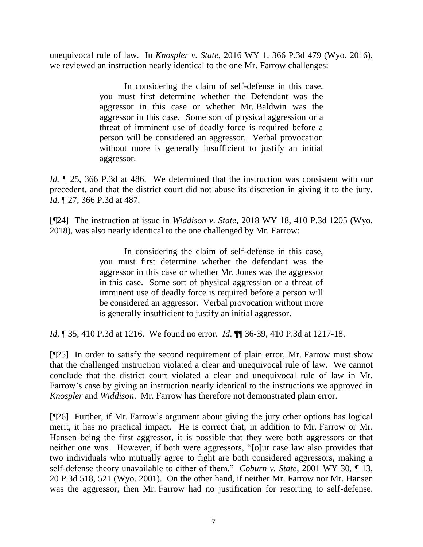unequivocal rule of law. In *Knospler v. State*, 2016 WY 1, 366 P.3d 479 (Wyo. 2016), we reviewed an instruction nearly identical to the one Mr. Farrow challenges:

> In considering the claim of self-defense in this case, you must first determine whether the Defendant was the aggressor in this case or whether Mr. Baldwin was the aggressor in this case. Some sort of physical aggression or a threat of imminent use of deadly force is required before a person will be considered an aggressor. Verbal provocation without more is generally insufficient to justify an initial aggressor.

*Id.*  $\sqrt{25}$ , 366 P.3d at 486. We determined that the instruction was consistent with our precedent, and that the district court did not abuse its discretion in giving it to the jury. *Id*. ¶ 27, 366 P.3d at 487.

[¶24] The instruction at issue in *Widdison v. State*, 2018 WY 18, 410 P.3d 1205 (Wyo. 2018), was also nearly identical to the one challenged by Mr. Farrow:

> In considering the claim of self-defense in this case, you must first determine whether the defendant was the aggressor in this case or whether Mr. Jones was the aggressor in this case. Some sort of physical aggression or a threat of imminent use of deadly force is required before a person will be considered an aggressor. Verbal provocation without more is generally insufficient to justify an initial aggressor.

*Id*. ¶ 35, 410 P.3d at 1216. We found no error. *Id*. ¶¶ 36-39, 410 P.3d at 1217-18.

[¶25] In order to satisfy the second requirement of plain error, Mr. Farrow must show that the challenged instruction violated a clear and unequivocal rule of law. We cannot conclude that the district court violated a clear and unequivocal rule of law in Mr. Farrow's case by giving an instruction nearly identical to the instructions we approved in *Knospler* and *Widdison*. Mr. Farrow has therefore not demonstrated plain error.

[¶26] Further, if Mr. Farrow's argument about giving the jury other options has logical merit, it has no practical impact. He is correct that, in addition to Mr. Farrow or Mr. Hansen being the first aggressor, it is possible that they were both aggressors or that neither one was. However, if both were aggressors, "[o]ur case law also provides that two individuals who mutually agree to fight are both considered aggressors, making a self-defense theory unavailable to either of them." *Coburn v. State*, 2001 WY 30, ¶ 13, 20 P.3d 518, 521 (Wyo. 2001). On the other hand, if neither Mr. Farrow nor Mr. Hansen was the aggressor, then Mr. Farrow had no justification for resorting to self-defense.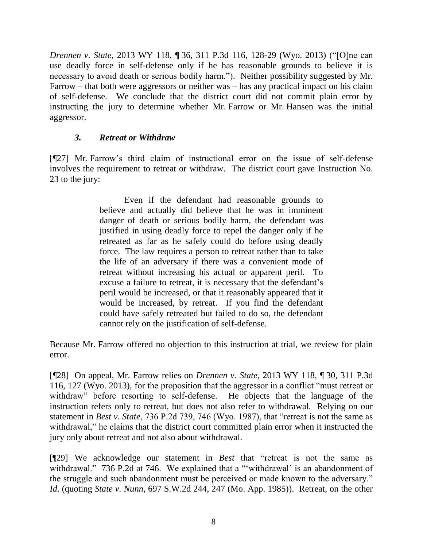*Drennen v. State*, 2013 WY 118, ¶ 36, 311 P.3d 116, 128-29 (Wyo. 2013) ("[O]ne can use deadly force in self-defense only if he has reasonable grounds to believe it is necessary to avoid death or serious bodily harm."). Neither possibility suggested by Mr. Farrow – that both were aggressors or neither was – has any practical impact on his claim of self-defense. We conclude that the district court did not commit plain error by instructing the jury to determine whether Mr. Farrow or Mr. Hansen was the initial aggressor.

# *3. Retreat or Withdraw*

[¶27] Mr. Farrow's third claim of instructional error on the issue of self-defense involves the requirement to retreat or withdraw. The district court gave Instruction No. 23 to the jury:

> Even if the defendant had reasonable grounds to believe and actually did believe that he was in imminent danger of death or serious bodily harm, the defendant was justified in using deadly force to repel the danger only if he retreated as far as he safely could do before using deadly force. The law requires a person to retreat rather than to take the life of an adversary if there was a convenient mode of retreat without increasing his actual or apparent peril. To excuse a failure to retreat, it is necessary that the defendant's peril would be increased, or that it reasonably appeared that it would be increased, by retreat. If you find the defendant could have safely retreated but failed to do so, the defendant cannot rely on the justification of self-defense.

Because Mr. Farrow offered no objection to this instruction at trial, we review for plain error.

[¶28] On appeal, Mr. Farrow relies on *Drennen v. State*, 2013 WY 118, ¶ 30, 311 P.3d 116, 127 (Wyo. 2013), for the proposition that the aggressor in a conflict "must retreat or withdraw" before resorting to self-defense. He objects that the language of the instruction refers only to retreat, but does not also refer to withdrawal. Relying on our statement in *Best v. State*, 736 P.2d 739, 746 (Wyo. 1987), that "retreat is not the same as withdrawal," he claims that the district court committed plain error when it instructed the jury only about retreat and not also about withdrawal.

[¶29] We acknowledge our statement in *Best* that "retreat is not the same as withdrawal." 736 P.2d at 746. We explained that a "'withdrawal' is an abandonment of the struggle and such abandonment must be perceived or made known to the adversary." *Id*. (quoting *State v. Nunn*, 697 S.W.2d 244, 247 (Mo. App. 1985)). Retreat, on the other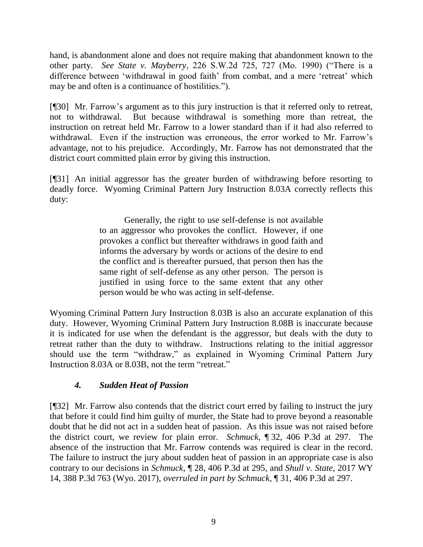hand, is abandonment alone and does not require making that abandonment known to the other party. *See State v. Mayberry*, 226 S.W.2d 725, 727 (Mo. 1990) ("There is a difference between 'withdrawal in good faith' from combat, and a mere 'retreat' which may be and often is a continuance of hostilities.").

[¶30] Mr. Farrow's argument as to this jury instruction is that it referred only to retreat, not to withdrawal. But because withdrawal is something more than retreat, the instruction on retreat held Mr. Farrow to a lower standard than if it had also referred to withdrawal. Even if the instruction was erroneous, the error worked to Mr. Farrow's advantage, not to his prejudice. Accordingly, Mr. Farrow has not demonstrated that the district court committed plain error by giving this instruction.

[¶31] An initial aggressor has the greater burden of withdrawing before resorting to deadly force. Wyoming Criminal Pattern Jury Instruction 8.03A correctly reflects this duty:

> Generally, the right to use self-defense is not available to an aggressor who provokes the conflict. However, if one provokes a conflict but thereafter withdraws in good faith and informs the adversary by words or actions of the desire to end the conflict and is thereafter pursued, that person then has the same right of self-defense as any other person. The person is justified in using force to the same extent that any other person would be who was acting in self-defense.

Wyoming Criminal Pattern Jury Instruction 8.03B is also an accurate explanation of this duty. However, Wyoming Criminal Pattern Jury Instruction 8.08B is inaccurate because it is indicated for use when the defendant is the aggressor, but deals with the duty to retreat rather than the duty to withdraw. Instructions relating to the initial aggressor should use the term "withdraw," as explained in Wyoming Criminal Pattern Jury Instruction 8.03A or 8.03B, not the term "retreat."

# *4. Sudden Heat of Passion*

[¶32] Mr. Farrow also contends that the district court erred by failing to instruct the jury that before it could find him guilty of murder, the State had to prove beyond a reasonable doubt that he did not act in a sudden heat of passion. As this issue was not raised before the district court, we review for plain error. *Schmuck*, ¶ 32, 406 P.3d at 297. The absence of the instruction that Mr. Farrow contends was required is clear in the record. The failure to instruct the jury about sudden heat of passion in an appropriate case is also contrary to our decisions in *Schmuck*, ¶ 28, 406 P.3d at 295, and *Shull v. State*, 2017 WY 14, 388 P.3d 763 (Wyo. 2017), *overruled in part by Schmuck*, ¶ 31, 406 P.3d at 297.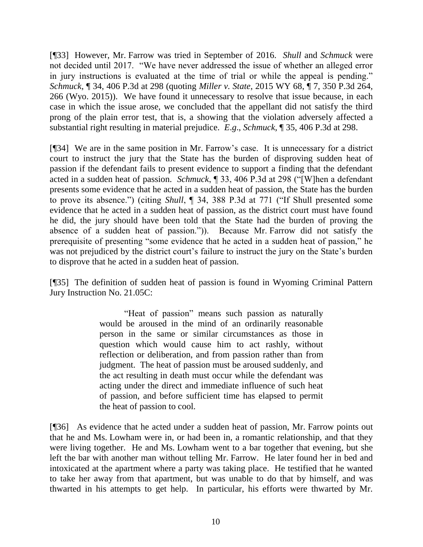[¶33] However, Mr. Farrow was tried in September of 2016. *Shull* and *Schmuck* were not decided until 2017. "We have never addressed the issue of whether an alleged error in jury instructions is evaluated at the time of trial or while the appeal is pending." *Schmuck*, ¶ 34, 406 P.3d at 298 (quoting *Miller v. State*, 2015 WY 68, ¶ 7, 350 P.3d 264, 266 (Wyo. 2015)). We have found it unnecessary to resolve that issue because, in each case in which the issue arose, we concluded that the appellant did not satisfy the third prong of the plain error test, that is, a showing that the violation adversely affected a substantial right resulting in material prejudice. *E*.*g*., *Schmuck*, ¶ 35, 406 P.3d at 298.

[¶34] We are in the same position in Mr. Farrow's case. It is unnecessary for a district court to instruct the jury that the State has the burden of disproving sudden heat of passion if the defendant fails to present evidence to support a finding that the defendant acted in a sudden heat of passion. *Schmuck*, ¶ 33, 406 P.3d at 298 ("[W]hen a defendant presents some evidence that he acted in a sudden heat of passion, the State has the burden to prove its absence.") (citing *Shull*, ¶ 34, 388 P.3d at 771 ("If Shull presented some evidence that he acted in a sudden heat of passion, as the district court must have found he did, the jury should have been told that the State had the burden of proving the absence of a sudden heat of passion.")). Because Mr. Farrow did not satisfy the prerequisite of presenting "some evidence that he acted in a sudden heat of passion," he was not prejudiced by the district court's failure to instruct the jury on the State's burden to disprove that he acted in a sudden heat of passion.

[¶35] The definition of sudden heat of passion is found in Wyoming Criminal Pattern Jury Instruction No. 21.05C:

> "Heat of passion" means such passion as naturally would be aroused in the mind of an ordinarily reasonable person in the same or similar circumstances as those in question which would cause him to act rashly, without reflection or deliberation, and from passion rather than from judgment. The heat of passion must be aroused suddenly, and the act resulting in death must occur while the defendant was acting under the direct and immediate influence of such heat of passion, and before sufficient time has elapsed to permit the heat of passion to cool.

[¶36] As evidence that he acted under a sudden heat of passion, Mr. Farrow points out that he and Ms. Lowham were in, or had been in, a romantic relationship, and that they were living together. He and Ms. Lowham went to a bar together that evening, but she left the bar with another man without telling Mr. Farrow. He later found her in bed and intoxicated at the apartment where a party was taking place. He testified that he wanted to take her away from that apartment, but was unable to do that by himself, and was thwarted in his attempts to get help. In particular, his efforts were thwarted by Mr.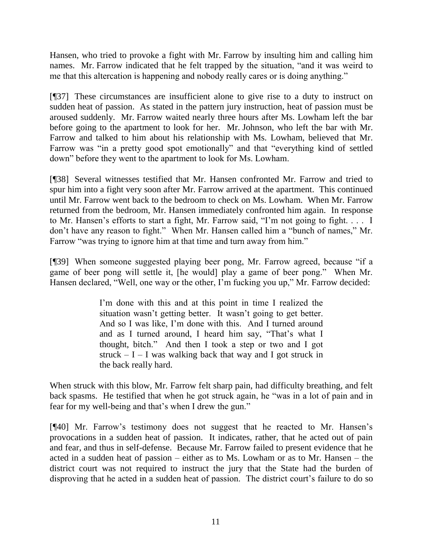Hansen, who tried to provoke a fight with Mr. Farrow by insulting him and calling him names. Mr. Farrow indicated that he felt trapped by the situation, "and it was weird to me that this altercation is happening and nobody really cares or is doing anything."

[¶37] These circumstances are insufficient alone to give rise to a duty to instruct on sudden heat of passion. As stated in the pattern jury instruction, heat of passion must be aroused suddenly. Mr. Farrow waited nearly three hours after Ms. Lowham left the bar before going to the apartment to look for her. Mr. Johnson, who left the bar with Mr. Farrow and talked to him about his relationship with Ms. Lowham, believed that Mr. Farrow was "in a pretty good spot emotionally" and that "everything kind of settled down" before they went to the apartment to look for Ms. Lowham.

[¶38] Several witnesses testified that Mr. Hansen confronted Mr. Farrow and tried to spur him into a fight very soon after Mr. Farrow arrived at the apartment. This continued until Mr. Farrow went back to the bedroom to check on Ms. Lowham. When Mr. Farrow returned from the bedroom, Mr. Hansen immediately confronted him again. In response to Mr. Hansen's efforts to start a fight, Mr. Farrow said, "I'm not going to fight. . . . I don't have any reason to fight." When Mr. Hansen called him a "bunch of names," Mr. Farrow "was trying to ignore him at that time and turn away from him."

[¶39] When someone suggested playing beer pong, Mr. Farrow agreed, because "if a game of beer pong will settle it, [he would] play a game of beer pong." When Mr. Hansen declared, "Well, one way or the other, I'm fucking you up," Mr. Farrow decided:

> I'm done with this and at this point in time I realized the situation wasn't getting better. It wasn't going to get better. And so I was like, I'm done with this. And I turned around and as I turned around, I heard him say, "That's what I thought, bitch." And then I took a step or two and I got struck  $- I - I$  was walking back that way and I got struck in the back really hard.

When struck with this blow, Mr. Farrow felt sharp pain, had difficulty breathing, and felt back spasms. He testified that when he got struck again, he "was in a lot of pain and in fear for my well-being and that's when I drew the gun."

[¶40] Mr. Farrow's testimony does not suggest that he reacted to Mr. Hansen's provocations in a sudden heat of passion. It indicates, rather, that he acted out of pain and fear, and thus in self-defense. Because Mr. Farrow failed to present evidence that he acted in a sudden heat of passion – either as to Ms. Lowham or as to Mr. Hansen – the district court was not required to instruct the jury that the State had the burden of disproving that he acted in a sudden heat of passion. The district court's failure to do so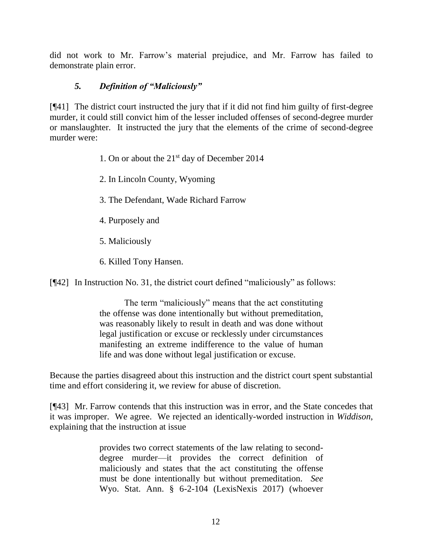did not work to Mr. Farrow's material prejudice, and Mr. Farrow has failed to demonstrate plain error.

# *5. Definition of "Maliciously"*

[¶41] The district court instructed the jury that if it did not find him guilty of first-degree murder, it could still convict him of the lesser included offenses of second-degree murder or manslaughter. It instructed the jury that the elements of the crime of second-degree murder were:

- 1. On or about the 21st day of December 2014
- 2. In Lincoln County, Wyoming
- 3. The Defendant, Wade Richard Farrow
- 4. Purposely and
- 5. Maliciously
- 6. Killed Tony Hansen.

[¶42] In Instruction No. 31, the district court defined "maliciously" as follows:

The term "maliciously" means that the act constituting the offense was done intentionally but without premeditation, was reasonably likely to result in death and was done without legal justification or excuse or recklessly under circumstances manifesting an extreme indifference to the value of human life and was done without legal justification or excuse.

Because the parties disagreed about this instruction and the district court spent substantial time and effort considering it, we review for abuse of discretion.

[¶43] Mr. Farrow contends that this instruction was in error, and the State concedes that it was improper. We agree. We rejected an identically-worded instruction in *Widdison*, explaining that the instruction at issue

> provides two correct statements of the law relating to seconddegree murder—it provides the correct definition of maliciously and states that the act constituting the offense must be done intentionally but without premeditation. *See* Wyo. Stat. Ann. § 6-2-104 (LexisNexis 2017) (whoever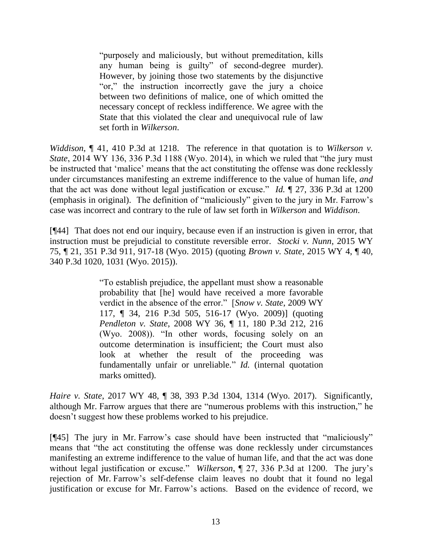"purposely and maliciously, but without premeditation, kills any human being is guilty" of second-degree murder). However, by joining those two statements by the disjunctive "or," the instruction incorrectly gave the jury a choice between two definitions of malice, one of which omitted the necessary concept of reckless indifference. We agree with the State that this violated the clear and unequivocal rule of law set forth in *Wilkerson*.

*Widdison*, ¶ 41, 410 P.3d at 1218. The reference in that quotation is to *Wilkerson v. State*, 2014 WY 136, 336 P.3d 1188 (Wyo. 2014), in which we ruled that "the jury must be instructed that 'malice' means that the act constituting the offense was done recklessly under circumstances manifesting an extreme indifference to the value of human life, *and* that the act was done without legal justification or excuse." *Id.* ¶ 27, 336 P.3d at 1200 (emphasis in original). The definition of "maliciously" given to the jury in Mr. Farrow's case was incorrect and contrary to the rule of law set forth in *Wilkerson* and *Widdison*.

[¶44] That does not end our inquiry, because even if an instruction is given in error, that instruction must be prejudicial to constitute reversible error. *Stocki v. Nunn*, 2015 WY 75, ¶ 21, 351 P.3d 911, 917-18 (Wyo. 2015) (quoting *Brown v. State*, 2015 WY 4, ¶ 40, 340 P.3d 1020, 1031 (Wyo. 2015)).

> "To establish prejudice, the appellant must show a reasonable probability that [he] would have received a more favorable verdict in the absence of the error." [*Snow v. State*, 2009 WY 117, ¶ 34, 216 P.3d 505, 516-17 (Wyo. 2009)] (quoting *Pendleton v. State*, 2008 WY 36, ¶ 11, 180 P.3d 212, 216 (Wyo. 2008)). "In other words, focusing solely on an outcome determination is insufficient; the Court must also look at whether the result of the proceeding was fundamentally unfair or unreliable." *Id.* (internal quotation marks omitted).

*Haire v. State*, 2017 WY 48, ¶ 38, 393 P.3d 1304, 1314 (Wyo. 2017). Significantly, although Mr. Farrow argues that there are "numerous problems with this instruction," he doesn't suggest how these problems worked to his prejudice.

[¶45] The jury in Mr. Farrow's case should have been instructed that "maliciously" means that "the act constituting the offense was done recklessly under circumstances manifesting an extreme indifference to the value of human life, and that the act was done without legal justification or excuse." *Wilkerson*, ¶ 27, 336 P.3d at 1200. The jury's rejection of Mr. Farrow's self-defense claim leaves no doubt that it found no legal justification or excuse for Mr. Farrow's actions. Based on the evidence of record, we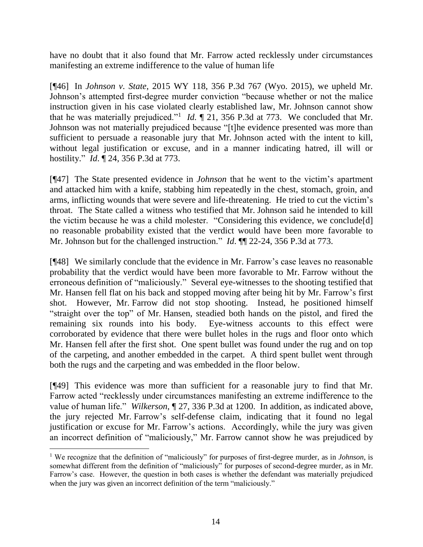have no doubt that it also found that Mr. Farrow acted recklessly under circumstances manifesting an extreme indifference to the value of human life

[¶46] In *Johnson v. State*, 2015 WY 118, 356 P.3d 767 (Wyo. 2015), we upheld Mr. Johnson's attempted first-degree murder conviction "because whether or not the malice instruction given in his case violated clearly established law, Mr. Johnson cannot show that he was materially prejudiced."<sup>1</sup> *Id.*  $\llbracket 21, 356 \text{ P.3d}$  at 773. We concluded that Mr. Johnson was not materially prejudiced because "[t]he evidence presented was more than sufficient to persuade a reasonable jury that Mr. Johnson acted with the intent to kill, without legal justification or excuse, and in a manner indicating hatred, ill will or hostility." *Id*. ¶ 24, 356 P.3d at 773.

[¶47] The State presented evidence in *Johnson* that he went to the victim's apartment and attacked him with a knife, stabbing him repeatedly in the chest, stomach, groin, and arms, inflicting wounds that were severe and life-threatening. He tried to cut the victim's throat. The State called a witness who testified that Mr. Johnson said he intended to kill the victim because he was a child molester. "Considering this evidence, we conclude[d] no reasonable probability existed that the verdict would have been more favorable to Mr. Johnson but for the challenged instruction." *Id*. ¶ 22-24, 356 P.3d at 773.

[¶48] We similarly conclude that the evidence in Mr. Farrow's case leaves no reasonable probability that the verdict would have been more favorable to Mr. Farrow without the erroneous definition of "maliciously." Several eye-witnesses to the shooting testified that Mr. Hansen fell flat on his back and stopped moving after being hit by Mr. Farrow's first shot. However, Mr. Farrow did not stop shooting. Instead, he positioned himself "straight over the top" of Mr. Hansen, steadied both hands on the pistol, and fired the remaining six rounds into his body. Eye-witness accounts to this effect were corroborated by evidence that there were bullet holes in the rugs and floor onto which Mr. Hansen fell after the first shot. One spent bullet was found under the rug and on top of the carpeting, and another embedded in the carpet. A third spent bullet went through both the rugs and the carpeting and was embedded in the floor below.

[¶49] This evidence was more than sufficient for a reasonable jury to find that Mr. Farrow acted "recklessly under circumstances manifesting an extreme indifference to the value of human life." *Wilkerson*, ¶ 27, 336 P.3d at 1200. In addition, as indicated above, the jury rejected Mr. Farrow's self-defense claim, indicating that it found no legal justification or excuse for Mr. Farrow's actions. Accordingly, while the jury was given an incorrect definition of "maliciously," Mr. Farrow cannot show he was prejudiced by

<sup>1</sup> We recognize that the definition of "maliciously" for purposes of first-degree murder, as in *Johnson*, is somewhat different from the definition of "maliciously" for purposes of second-degree murder, as in Mr. Farrow's case. However, the question in both cases is whether the defendant was materially prejudiced when the jury was given an incorrect definition of the term "maliciously."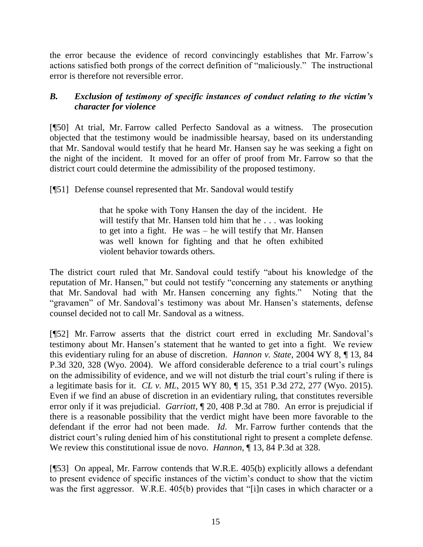the error because the evidence of record convincingly establishes that Mr. Farrow's actions satisfied both prongs of the correct definition of "maliciously." The instructional error is therefore not reversible error.

# *B. Exclusion of testimony of specific instances of conduct relating to the victim's character for violence*

[¶50] At trial, Mr. Farrow called Perfecto Sandoval as a witness. The prosecution objected that the testimony would be inadmissible hearsay, based on its understanding that Mr. Sandoval would testify that he heard Mr. Hansen say he was seeking a fight on the night of the incident. It moved for an offer of proof from Mr. Farrow so that the district court could determine the admissibility of the proposed testimony.

[¶51] Defense counsel represented that Mr. Sandoval would testify

that he spoke with Tony Hansen the day of the incident. He will testify that Mr. Hansen told him that he . . . was looking to get into a fight. He was – he will testify that Mr. Hansen was well known for fighting and that he often exhibited violent behavior towards others.

The district court ruled that Mr. Sandoval could testify "about his knowledge of the reputation of Mr. Hansen," but could not testify "concerning any statements or anything that Mr. Sandoval had with Mr. Hansen concerning any fights." Noting that the "gravamen" of Mr. Sandoval's testimony was about Mr. Hansen's statements, defense counsel decided not to call Mr. Sandoval as a witness.

[¶52] Mr. Farrow asserts that the district court erred in excluding Mr. Sandoval's testimony about Mr. Hansen's statement that he wanted to get into a fight. We review this evidentiary ruling for an abuse of discretion. *Hannon v. State*, 2004 WY 8, ¶ 13, 84 P.3d 320, 328 (Wyo. 2004). We afford considerable deference to a trial court's rulings on the admissibility of evidence, and we will not disturb the trial court's ruling if there is a legitimate basis for it. *CL v. ML*, 2015 WY 80, ¶ 15, 351 P.3d 272, 277 (Wyo. 2015). Even if we find an abuse of discretion in an evidentiary ruling, that constitutes reversible error only if it was prejudicial. *Garriott*, ¶ 20, 408 P.3d at 780. An error is prejudicial if there is a reasonable possibility that the verdict might have been more favorable to the defendant if the error had not been made. *Id*. Mr. Farrow further contends that the district court's ruling denied him of his constitutional right to present a complete defense. We review this constitutional issue de novo. *Hannon*, ¶ 13, 84 P.3d at 328.

[¶53] On appeal, Mr. Farrow contends that W.R.E. 405(b) explicitly allows a defendant to present evidence of specific instances of the victim's conduct to show that the victim was the first aggressor. W.R.E. 405(b) provides that "[i]n cases in which character or a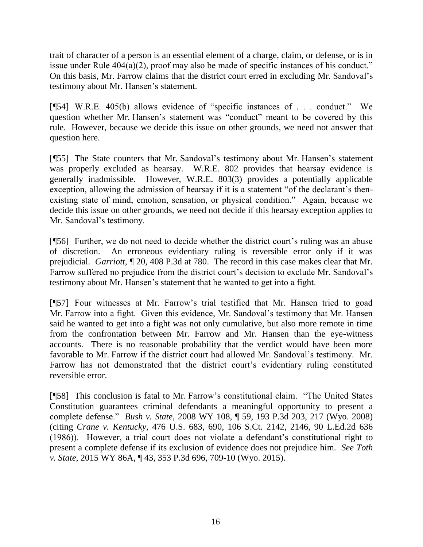trait of character of a person is an essential element of a charge, claim, or defense, or is in issue under Rule 404(a)(2), proof may also be made of specific instances of his conduct." On this basis, Mr. Farrow claims that the district court erred in excluding Mr. Sandoval's testimony about Mr. Hansen's statement.

[¶54] W.R.E. 405(b) allows evidence of "specific instances of . . . conduct." We question whether Mr. Hansen's statement was "conduct" meant to be covered by this rule. However, because we decide this issue on other grounds, we need not answer that question here.

[¶55] The State counters that Mr. Sandoval's testimony about Mr. Hansen's statement was properly excluded as hearsay. W.R.E. 802 provides that hearsay evidence is generally inadmissible. However, W.R.E. 803(3) provides a potentially applicable exception, allowing the admission of hearsay if it is a statement "of the declarant's thenexisting state of mind, emotion, sensation, or physical condition." Again, because we decide this issue on other grounds, we need not decide if this hearsay exception applies to Mr. Sandoval's testimony.

[¶56] Further, we do not need to decide whether the district court's ruling was an abuse of discretion. An erroneous evidentiary ruling is reversible error only if it was prejudicial. *Garriott*, ¶ 20, 408 P.3d at 780. The record in this case makes clear that Mr. Farrow suffered no prejudice from the district court's decision to exclude Mr. Sandoval's testimony about Mr. Hansen's statement that he wanted to get into a fight.

[¶57] Four witnesses at Mr. Farrow's trial testified that Mr. Hansen tried to goad Mr. Farrow into a fight. Given this evidence, Mr. Sandoval's testimony that Mr. Hansen said he wanted to get into a fight was not only cumulative, but also more remote in time from the confrontation between Mr. Farrow and Mr. Hansen than the eye-witness accounts. There is no reasonable probability that the verdict would have been more favorable to Mr. Farrow if the district court had allowed Mr. Sandoval's testimony. Mr. Farrow has not demonstrated that the district court's evidentiary ruling constituted reversible error.

[¶58] This conclusion is fatal to Mr. Farrow's constitutional claim. "The United States Constitution guarantees criminal defendants a meaningful opportunity to present a complete defense." *Bush v. State*, 2008 WY 108, ¶ 59, 193 P.3d 203, 217 (Wyo. 2008) (citing *Crane v. Kentucky*, 476 U.S. 683, 690, 106 S.Ct. 2142, 2146, 90 L.Ed.2d 636 (1986)). However, a trial court does not violate a defendant's constitutional right to present a complete defense if its exclusion of evidence does not prejudice him. *See Toth v. State*, 2015 WY 86A, ¶ 43, 353 P.3d 696, 709-10 (Wyo. 2015).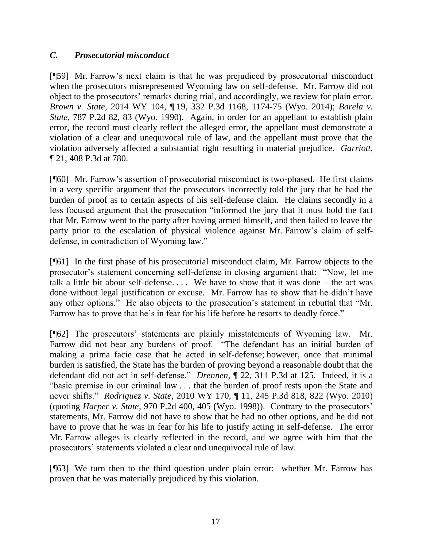# *C. Prosecutorial misconduct*

[¶59] Mr. Farrow's next claim is that he was prejudiced by prosecutorial misconduct when the prosecutors misrepresented Wyoming law on self-defense. Mr. Farrow did not object to the prosecutors' remarks during trial, and accordingly, we review for plain error. *Brown v. State*, 2014 WY 104, ¶ 19, 332 P.3d 1168, 1174-75 (Wyo. 2014); *Barela v. State*, 787 P.2d 82, 83 (Wyo. 1990). Again, in order for an appellant to establish plain error, the record must clearly reflect the alleged error, the appellant must demonstrate a violation of a clear and unequivocal rule of law, and the appellant must prove that the violation adversely affected a substantial right resulting in material prejudice. *Garriott*, ¶ 21, 408 P.3d at 780.

[¶60] Mr. Farrow's assertion of prosecutorial misconduct is two-phased. He first claims in a very specific argument that the prosecutors incorrectly told the jury that he had the burden of proof as to certain aspects of his self-defense claim. He claims secondly in a less focused argument that the prosecution "informed the jury that it must hold the fact that Mr. Farrow went to the party after having armed himself, and then failed to leave the party prior to the escalation of physical violence against Mr. Farrow's claim of selfdefense, in contradiction of Wyoming law."

[¶61] In the first phase of his prosecutorial misconduct claim, Mr. Farrow objects to the prosecutor's statement concerning self-defense in closing argument that: "Now, let me talk a little bit about self-defense.... We have to show that it was done – the act was done without legal justification or excuse. Mr. Farrow has to show that he didn't have any other options." He also objects to the prosecution's statement in rebuttal that "Mr. Farrow has to prove that he's in fear for his life before he resorts to deadly force."

[¶62] The prosecutors' statements are plainly misstatements of Wyoming law. Mr. Farrow did not bear any burdens of proof. "The defendant has an initial burden of making a prima facie case that he acted in self-defense; however, once that minimal burden is satisfied, the State has the burden of proving beyond a reasonable doubt that the defendant did not act in self-defense." *Drennen*, ¶ 22, 311 P.3d at 125. Indeed, it is a "basic premise in our criminal law . . . that the burden of proof rests upon the State and never shifts." *Rodriguez v. State*, 2010 WY 170, ¶ 11, 245 P.3d 818, 822 (Wyo. 2010) (quoting *Harper v. State*, 970 P.2d 400, 405 (Wyo. 1998)). Contrary to the prosecutors' statements, Mr. Farrow did not have to show that he had no other options, and he did not have to prove that he was in fear for his life to justify acting in self-defense. The error Mr. Farrow alleges is clearly reflected in the record, and we agree with him that the prosecutors' statements violated a clear and unequivocal rule of law.

[¶63] We turn then to the third question under plain error: whether Mr. Farrow has proven that he was materially prejudiced by this violation.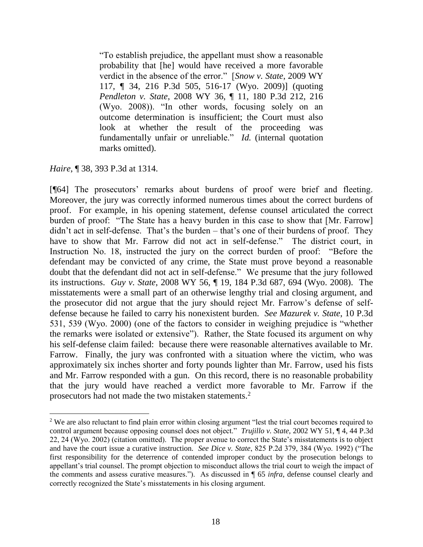"To establish prejudice, the appellant must show a reasonable probability that [he] would have received a more favorable verdict in the absence of the error." [*Snow v. State*, 2009 WY 117, ¶ 34, 216 P.3d 505, 516-17 (Wyo. 2009)] (quoting *Pendleton v. State*, 2008 WY 36, ¶ 11, 180 P.3d 212, 216 (Wyo. 2008)). "In other words, focusing solely on an outcome determination is insufficient; the Court must also look at whether the result of the proceeding was fundamentally unfair or unreliable." *Id.* (internal quotation marks omitted).

*Haire*, ¶ 38, 393 P.3d at 1314.

 $\overline{a}$ 

[¶64] The prosecutors' remarks about burdens of proof were brief and fleeting. Moreover, the jury was correctly informed numerous times about the correct burdens of proof. For example, in his opening statement, defense counsel articulated the correct burden of proof: "The State has a heavy burden in this case to show that [Mr. Farrow] didn't act in self-defense. That's the burden – that's one of their burdens of proof. They have to show that Mr. Farrow did not act in self-defense." The district court, in Instruction No. 18, instructed the jury on the correct burden of proof: "Before the defendant may be convicted of any crime, the State must prove beyond a reasonable doubt that the defendant did not act in self-defense." We presume that the jury followed its instructions. *Guy v. State*, 2008 WY 56, ¶ 19, 184 P.3d 687, 694 (Wyo. 2008). The misstatements were a small part of an otherwise lengthy trial and closing argument, and the prosecutor did not argue that the jury should reject Mr. Farrow's defense of selfdefense because he failed to carry his nonexistent burden. *See Mazurek v. State*, 10 P.3d 531, 539 (Wyo. 2000) (one of the factors to consider in weighing prejudice is "whether the remarks were isolated or extensive"). Rather, the State focused its argument on why his self-defense claim failed: because there were reasonable alternatives available to Mr. Farrow. Finally, the jury was confronted with a situation where the victim, who was approximately six inches shorter and forty pounds lighter than Mr. Farrow, used his fists and Mr. Farrow responded with a gun. On this record, there is no reasonable probability that the jury would have reached a verdict more favorable to Mr. Farrow if the prosecutors had not made the two mistaken statements.<sup>2</sup>

<sup>2</sup> We are also reluctant to find plain error within closing argument "lest the trial court becomes required to control argument because opposing counsel does not object." *Trujillo v. State,* 2002 WY 51, ¶ 4, 44 P.3d 22, 24 (Wyo. 2002) (citation omitted). The proper avenue to correct the State's misstatements is to object and have the court issue a curative instruction. *See Dice v. State*, 825 P.2d 379, 384 (Wyo. 1992) ("The first responsibility for the deterrence of contended improper conduct by the prosecution belongs to appellant's trial counsel. The prompt objection to misconduct allows the trial court to weigh the impact of the comments and assess curative measures."). As discussed in ¶ 65 *infra*, defense counsel clearly and correctly recognized the State's misstatements in his closing argument.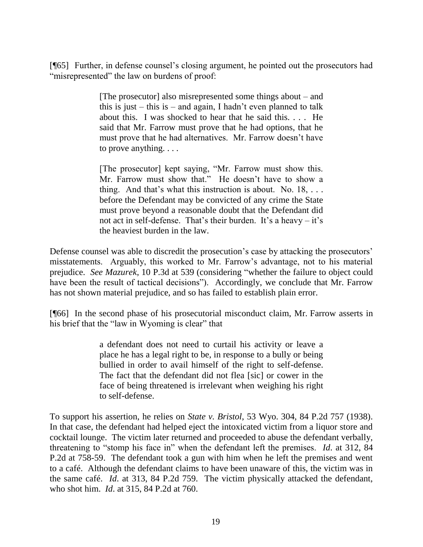[¶65] Further, in defense counsel's closing argument, he pointed out the prosecutors had "misrepresented" the law on burdens of proof:

> [The prosecutor] also misrepresented some things about – and this is just – this is – and again, I hadn't even planned to talk about this. I was shocked to hear that he said this. . . . He said that Mr. Farrow must prove that he had options, that he must prove that he had alternatives. Mr. Farrow doesn't have to prove anything. . . .

> [The prosecutor] kept saying, "Mr. Farrow must show this. Mr. Farrow must show that." He doesn't have to show a thing. And that's what this instruction is about. No.  $18, \ldots$ before the Defendant may be convicted of any crime the State must prove beyond a reasonable doubt that the Defendant did not act in self-defense. That's their burden. It's a heavy – it's the heaviest burden in the law.

Defense counsel was able to discredit the prosecution's case by attacking the prosecutors' misstatements. Arguably, this worked to Mr. Farrow's advantage, not to his material prejudice. *See Mazurek*, 10 P.3d at 539 (considering "whether the failure to object could have been the result of tactical decisions"). Accordingly, we conclude that Mr. Farrow has not shown material prejudice, and so has failed to establish plain error.

[¶66] In the second phase of his prosecutorial misconduct claim, Mr. Farrow asserts in his brief that the "law in Wyoming is clear" that

> a defendant does not need to curtail his activity or leave a place he has a legal right to be, in response to a bully or being bullied in order to avail himself of the right to self-defense. The fact that the defendant did not flea [sic] or cower in the face of being threatened is irrelevant when weighing his right to self-defense.

To support his assertion, he relies on *State v. Bristol*, 53 Wyo. 304, 84 P.2d 757 (1938). In that case, the defendant had helped eject the intoxicated victim from a liquor store and cocktail lounge. The victim later returned and proceeded to abuse the defendant verbally, threatening to "stomp his face in" when the defendant left the premises. *Id*. at 312, 84 P.2d at 758-59. The defendant took a gun with him when he left the premises and went to a café. Although the defendant claims to have been unaware of this, the victim was in the same café. *Id*. at 313, 84 P.2d 759. The victim physically attacked the defendant, who shot him. *Id*. at 315, 84 P.2d at 760.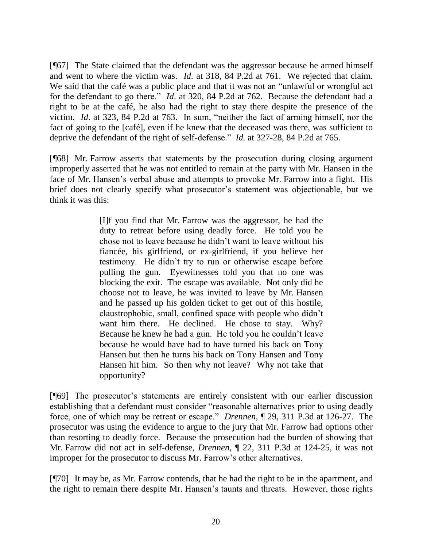[¶67] The State claimed that the defendant was the aggressor because he armed himself and went to where the victim was. *Id*. at 318, 84 P.2d at 761. We rejected that claim. We said that the café was a public place and that it was not an "unlawful or wrongful act for the defendant to go there." *Id*. at 320, 84 P.2d at 762. Because the defendant had a right to be at the café, he also had the right to stay there despite the presence of the victim. *Id*. at 323, 84 P.2d at 763. In sum, "neither the fact of arming himself, nor the fact of going to the [café], even if he knew that the deceased was there, was sufficient to deprive the defendant of the right of self-defense." *Id.* at 327-28, 84 P.2d at 765.

[¶68] Mr. Farrow asserts that statements by the prosecution during closing argument improperly asserted that he was not entitled to remain at the party with Mr. Hansen in the face of Mr. Hansen's verbal abuse and attempts to provoke Mr. Farrow into a fight. His brief does not clearly specify what prosecutor's statement was objectionable, but we think it was this:

> [I]f you find that Mr. Farrow was the aggressor, he had the duty to retreat before using deadly force. He told you he chose not to leave because he didn't want to leave without his fiancée, his girlfriend, or ex-girlfriend, if you believe her testimony. He didn't try to run or otherwise escape before pulling the gun. Eyewitnesses told you that no one was blocking the exit. The escape was available. Not only did he choose not to leave, he was invited to leave by Mr. Hansen and he passed up his golden ticket to get out of this hostile, claustrophobic, small, confined space with people who didn't want him there. He declined. He chose to stay. Why? Because he knew he had a gun. He told you he couldn't leave because he would have had to have turned his back on Tony Hansen but then he turns his back on Tony Hansen and Tony Hansen hit him. So then why not leave? Why not take that opportunity?

[¶69] The prosecutor's statements are entirely consistent with our earlier discussion establishing that a defendant must consider "reasonable alternatives prior to using deadly force, one of which may be retreat or escape." *Drennen*, ¶ 29, 311 P.3d at 126-27. The prosecutor was using the evidence to argue to the jury that Mr. Farrow had options other than resorting to deadly force. Because the prosecution had the burden of showing that Mr. Farrow did not act in self-defense, *Drennen*, ¶ 22, 311 P.3d at 124-25, it was not improper for the prosecutor to discuss Mr. Farrow's other alternatives.

[¶70] It may be, as Mr. Farrow contends, that he had the right to be in the apartment, and the right to remain there despite Mr. Hansen's taunts and threats. However, those rights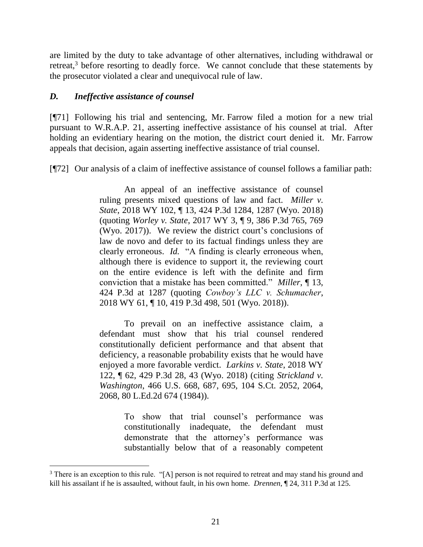are limited by the duty to take advantage of other alternatives, including withdrawal or retreat,<sup>3</sup> before resorting to deadly force. We cannot conclude that these statements by the prosecutor violated a clear and unequivocal rule of law.

### *D. Ineffective assistance of counsel*

[¶71] Following his trial and sentencing, Mr. Farrow filed a motion for a new trial pursuant to W.R.A.P. 21, asserting ineffective assistance of his counsel at trial. After holding an evidentiary hearing on the motion, the district court denied it. Mr. Farrow appeals that decision, again asserting ineffective assistance of trial counsel.

[¶72] Our analysis of a claim of ineffective assistance of counsel follows a familiar path:

An appeal of an ineffective assistance of counsel ruling presents mixed questions of law and fact. *Miller v. State*, 2018 WY 102, ¶ 13, 424 P.3d 1284, 1287 (Wyo. 2018) (quoting *Worley v. State*, 2017 WY 3, ¶ 9, 386 P.3d 765, 769 (Wyo. 2017)). We review the district court's conclusions of law de novo and defer to its factual findings unless they are clearly erroneous. *Id.* "A finding is clearly erroneous when, although there is evidence to support it, the reviewing court on the entire evidence is left with the definite and firm conviction that a mistake has been committed." *Miller*, ¶ 13, 424 P.3d at 1287 (quoting *Cowboy's LLC v. Schumacher*, 2018 WY 61, ¶ 10, 419 P.3d 498, 501 (Wyo. 2018)).

To prevail on an ineffective assistance claim, a defendant must show that his trial counsel rendered constitutionally deficient performance and that absent that deficiency, a reasonable probability exists that he would have enjoyed a more favorable verdict. *Larkins v. State*, 2018 WY 122, ¶ 62, 429 P.3d 28, 43 (Wyo. 2018) (citing *Strickland v. Washington*, 466 U.S. 668, 687, 695, 104 S.Ct. 2052, 2064, 2068, 80 L.Ed.2d 674 (1984)).

> To show that trial counsel's performance was constitutionally inadequate, the defendant must demonstrate that the attorney's performance was substantially below that of a reasonably competent

<sup>&</sup>lt;sup>3</sup> There is an exception to this rule. "[A] person is not required to retreat and may stand his ground and kill his assailant if he is assaulted, without fault, in his own home. *Drennen*, ¶ 24, 311 P.3d at 125.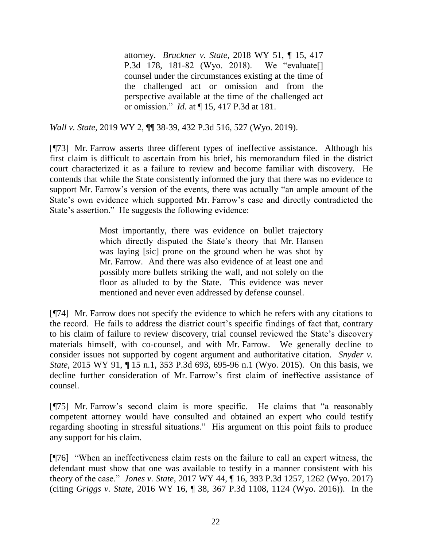attorney. *Bruckner v. State*, 2018 WY 51, ¶ 15, 417 P.3d 178, 181-82 (Wyo. 2018). We "evaluate[] counsel under the circumstances existing at the time of the challenged act or omission and from the perspective available at the time of the challenged act or omission." *Id.* at ¶ 15, 417 P.3d at 181.

*Wall v. State*, 2019 WY 2, ¶¶ 38-39, 432 P.3d 516, 527 (Wyo. 2019).

[¶73] Mr. Farrow asserts three different types of ineffective assistance. Although his first claim is difficult to ascertain from his brief, his memorandum filed in the district court characterized it as a failure to review and become familiar with discovery. He contends that while the State consistently informed the jury that there was no evidence to support Mr. Farrow's version of the events, there was actually "an ample amount of the State's own evidence which supported Mr. Farrow's case and directly contradicted the State's assertion." He suggests the following evidence:

> Most importantly, there was evidence on bullet trajectory which directly disputed the State's theory that Mr. Hansen was laying [sic] prone on the ground when he was shot by Mr. Farrow. And there was also evidence of at least one and possibly more bullets striking the wall, and not solely on the floor as alluded to by the State. This evidence was never mentioned and never even addressed by defense counsel.

[¶74] Mr. Farrow does not specify the evidence to which he refers with any citations to the record. He fails to address the district court's specific findings of fact that, contrary to his claim of failure to review discovery, trial counsel reviewed the State's discovery materials himself, with co-counsel, and with Mr. Farrow. We generally decline to consider issues not supported by cogent argument and authoritative citation. *Snyder v. State*, 2015 WY 91, ¶ 15 n.1, 353 P.3d 693, 695-96 n.1 (Wyo. 2015). On this basis, we decline further consideration of Mr. Farrow's first claim of ineffective assistance of counsel.

[¶75] Mr. Farrow's second claim is more specific. He claims that "a reasonably competent attorney would have consulted and obtained an expert who could testify regarding shooting in stressful situations." His argument on this point fails to produce any support for his claim.

[¶76] "When an ineffectiveness claim rests on the failure to call an expert witness, the defendant must show that one was available to testify in a manner consistent with his theory of the case." *Jones v. State*, 2017 WY 44, ¶ 16, 393 P.3d 1257, 1262 (Wyo. 2017) (citing *Griggs v. State*, 2016 WY 16, ¶ 38, 367 P.3d 1108, 1124 (Wyo. 2016)). In the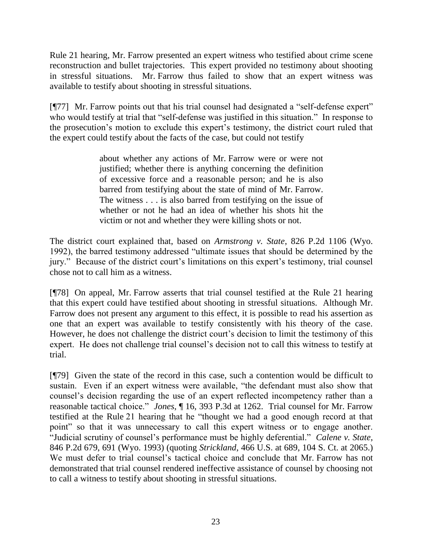Rule 21 hearing, Mr. Farrow presented an expert witness who testified about crime scene reconstruction and bullet trajectories. This expert provided no testimony about shooting in stressful situations. Mr. Farrow thus failed to show that an expert witness was available to testify about shooting in stressful situations.

[¶77] Mr. Farrow points out that his trial counsel had designated a "self-defense expert" who would testify at trial that "self-defense was justified in this situation." In response to the prosecution's motion to exclude this expert's testimony, the district court ruled that the expert could testify about the facts of the case, but could not testify

> about whether any actions of Mr. Farrow were or were not justified; whether there is anything concerning the definition of excessive force and a reasonable person; and he is also barred from testifying about the state of mind of Mr. Farrow. The witness . . . is also barred from testifying on the issue of whether or not he had an idea of whether his shots hit the victim or not and whether they were killing shots or not.

The district court explained that, based on *Armstrong v. State*, 826 P.2d 1106 (Wyo. 1992), the barred testimony addressed "ultimate issues that should be determined by the jury." Because of the district court's limitations on this expert's testimony, trial counsel chose not to call him as a witness.

[¶78] On appeal, Mr. Farrow asserts that trial counsel testified at the Rule 21 hearing that this expert could have testified about shooting in stressful situations. Although Mr. Farrow does not present any argument to this effect, it is possible to read his assertion as one that an expert was available to testify consistently with his theory of the case. However, he does not challenge the district court's decision to limit the testimony of this expert. He does not challenge trial counsel's decision not to call this witness to testify at trial.

[¶79] Given the state of the record in this case, such a contention would be difficult to sustain. Even if an expert witness were available, "the defendant must also show that counsel's decision regarding the use of an expert reflected incompetency rather than a reasonable tactical choice." *Jones*, ¶ 16, 393 P.3d at 1262. Trial counsel for Mr. Farrow testified at the Rule 21 hearing that he "thought we had a good enough record at that point" so that it was unnecessary to call this expert witness or to engage another. "Judicial scrutiny of counsel's performance must be highly deferential." *Calene v. State*, 846 P.2d 679, 691 (Wyo. 1993) (quoting *Strickland*, 466 U.S. at 689, 104 S. Ct. at 2065.) We must defer to trial counsel's tactical choice and conclude that Mr. Farrow has not demonstrated that trial counsel rendered ineffective assistance of counsel by choosing not to call a witness to testify about shooting in stressful situations.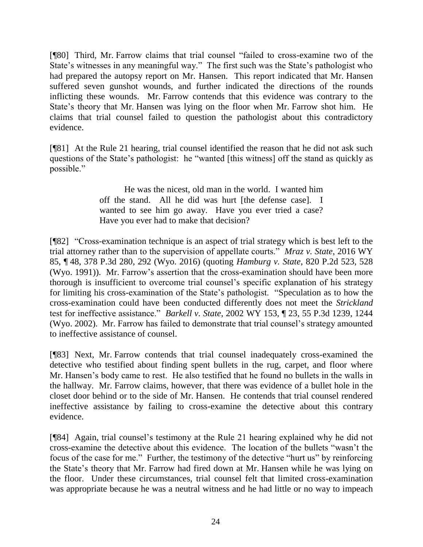[¶80] Third, Mr. Farrow claims that trial counsel "failed to cross-examine two of the State's witnesses in any meaningful way." The first such was the State's pathologist who had prepared the autopsy report on Mr. Hansen. This report indicated that Mr. Hansen suffered seven gunshot wounds, and further indicated the directions of the rounds inflicting these wounds. Mr. Farrow contends that this evidence was contrary to the State's theory that Mr. Hansen was lying on the floor when Mr. Farrow shot him. He claims that trial counsel failed to question the pathologist about this contradictory evidence.

[¶81] At the Rule 21 hearing, trial counsel identified the reason that he did not ask such questions of the State's pathologist: he "wanted [this witness] off the stand as quickly as possible."

> He was the nicest, old man in the world. I wanted him off the stand. All he did was hurt [the defense case]. I wanted to see him go away. Have you ever tried a case? Have you ever had to make that decision?

[¶82] "Cross-examination technique is an aspect of trial strategy which is best left to the trial attorney rather than to the supervision of appellate courts." *Mraz v. State*, 2016 WY 85, ¶ 48, 378 P.3d 280, 292 (Wyo. 2016) (quoting *Hamburg v. State*, 820 P.2d 523, 528 (Wyo. 1991)). Mr. Farrow's assertion that the cross-examination should have been more thorough is insufficient to overcome trial counsel's specific explanation of his strategy for limiting his cross-examination of the State's pathologist. "Speculation as to how the cross-examination could have been conducted differently does not meet the *Strickland*  test for ineffective assistance." *Barkell v. State*, 2002 WY 153, ¶ 23, 55 P.3d 1239, 1244 (Wyo. 2002). Mr. Farrow has failed to demonstrate that trial counsel's strategy amounted to ineffective assistance of counsel.

[¶83] Next, Mr. Farrow contends that trial counsel inadequately cross-examined the detective who testified about finding spent bullets in the rug, carpet, and floor where Mr. Hansen's body came to rest. He also testified that he found no bullets in the walls in the hallway. Mr. Farrow claims, however, that there was evidence of a bullet hole in the closet door behind or to the side of Mr. Hansen. He contends that trial counsel rendered ineffective assistance by failing to cross-examine the detective about this contrary evidence.

[¶84] Again, trial counsel's testimony at the Rule 21 hearing explained why he did not cross-examine the detective about this evidence. The location of the bullets "wasn't the focus of the case for me." Further, the testimony of the detective "hurt us" by reinforcing the State's theory that Mr. Farrow had fired down at Mr. Hansen while he was lying on the floor. Under these circumstances, trial counsel felt that limited cross-examination was appropriate because he was a neutral witness and he had little or no way to impeach